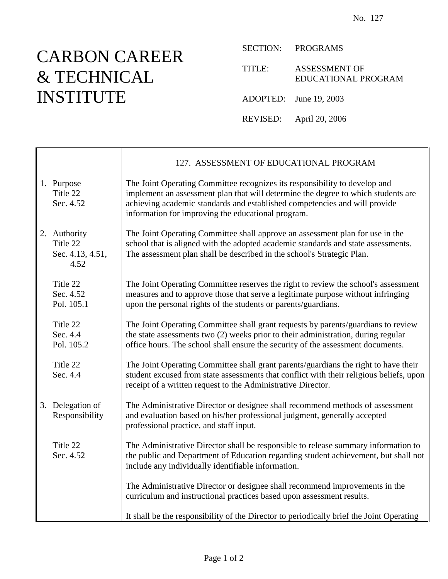## CARBON CAREER & TECHNICAL INSTITUTE

 $\mathsf{r}$ 

SECTION: PROGRAMS

TITLE: ASSESSMENT OF EDUCATIONAL PROGRAM

ADOPTED: June 19, 2003

REVISED: April 20, 2006

|                                                      | 127. ASSESSMENT OF EDUCATIONAL PROGRAM                                                                                                                                                                                                                                                              |
|------------------------------------------------------|-----------------------------------------------------------------------------------------------------------------------------------------------------------------------------------------------------------------------------------------------------------------------------------------------------|
| 1. Purpose<br>Title 22<br>Sec. 4.52                  | The Joint Operating Committee recognizes its responsibility to develop and<br>implement an assessment plan that will determine the degree to which students are<br>achieving academic standards and established competencies and will provide<br>information for improving the educational program. |
| 2. Authority<br>Title 22<br>Sec. 4.13, 4.51,<br>4.52 | The Joint Operating Committee shall approve an assessment plan for use in the<br>school that is aligned with the adopted academic standards and state assessments.<br>The assessment plan shall be described in the school's Strategic Plan.                                                        |
| Title 22<br>Sec. 4.52<br>Pol. 105.1                  | The Joint Operating Committee reserves the right to review the school's assessment<br>measures and to approve those that serve a legitimate purpose without infringing<br>upon the personal rights of the students or parents/guardians.                                                            |
| Title 22<br>Sec. 4.4<br>Pol. 105.2                   | The Joint Operating Committee shall grant requests by parents/guardians to review<br>the state assessments two (2) weeks prior to their administration, during regular<br>office hours. The school shall ensure the security of the assessment documents.                                           |
| Title 22<br>Sec. 4.4                                 | The Joint Operating Committee shall grant parents/guardians the right to have their<br>student excused from state assessments that conflict with their religious beliefs, upon<br>receipt of a written request to the Administrative Director.                                                      |
| 3. Delegation of<br>Responsibility                   | The Administrative Director or designee shall recommend methods of assessment<br>and evaluation based on his/her professional judgment, generally accepted<br>professional practice, and staff input.                                                                                               |
| Title 22<br>Sec. 4.52                                | The Administrative Director shall be responsible to release summary information to<br>the public and Department of Education regarding student achievement, but shall not<br>include any individually identifiable information.                                                                     |
|                                                      | The Administrative Director or designee shall recommend improvements in the<br>curriculum and instructional practices based upon assessment results.                                                                                                                                                |
|                                                      | It shall be the responsibility of the Director to periodically brief the Joint Operating                                                                                                                                                                                                            |